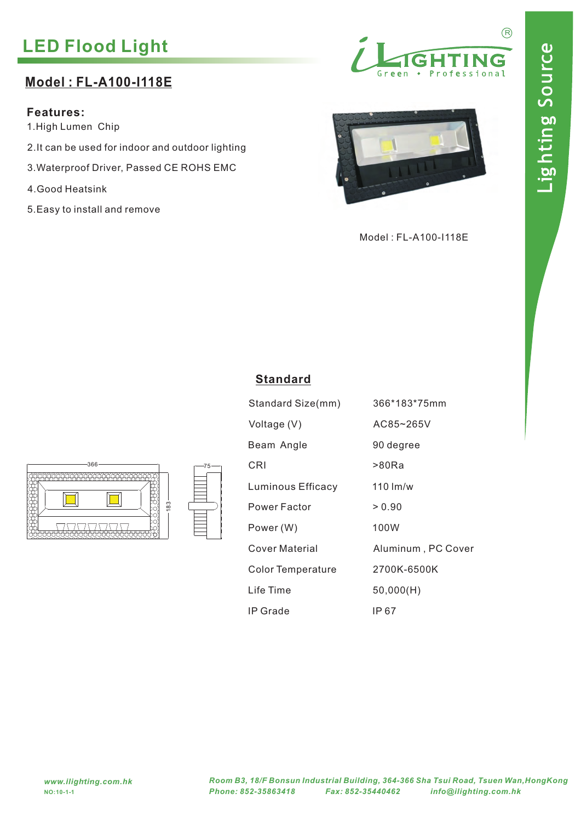# **LED Flood Light**

## **Model : FL-A100-I118E**

### **Features:**

1.High Lumen Chip

- 2.It can be used for indoor and outdoor lighting
- 3.Waterproof Driver, Passed CE ROHS EMC
- 4.Good Heatsink
- 5.Easy to install and remove





Model : FL-A100-I118E





|  |  | :andarı |  |  |
|--|--|---------|--|--|
|  |  |         |  |  |

| 366*183*75mm       |
|--------------------|
| AC85~265V          |
| 90 degree          |
| >80Ra              |
| $110 \,$ lm/w      |
| > 0.90             |
| 100W               |
| Aluminum, PC Cover |
| 2700K-6500K        |
| 50,000(H)          |
| IP 67              |
|                    |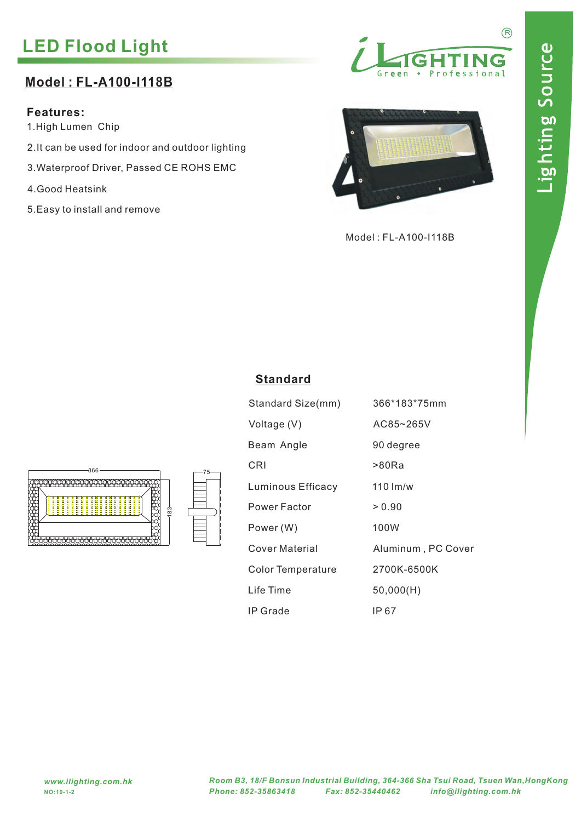# **LED Flood Light**

## **Model : FL-A100-I118B**

#### **Features:**

1.High Lumen Chip

- 2.It can be used for indoor and outdoor lighting
- 3.Waterproof Driver, Passed CE ROHS EMC
- 4.Good Heatsink
- 5.Easy to install and remove





Model : FL-A100-I118B



| tandard |  |  |  |
|---------|--|--|--|
|         |  |  |  |

| Standard Size(mm) | 366*183*75mm       |
|-------------------|--------------------|
| Voltage (V)       | AC85~265V          |
| Beam Angle        | 90 degree          |
| CRI               | >80Ra              |
| Luminous Efficacy | $110 \,$ lm/w      |
| Power Factor      | > 0.90             |
| Power (W)         | 100W               |
| Cover Material    | Aluminum, PC Cover |
| Color Temperature | 2700K-6500K        |
| Life Time         | 50,000(H)          |
| IP Grade          | IP 67              |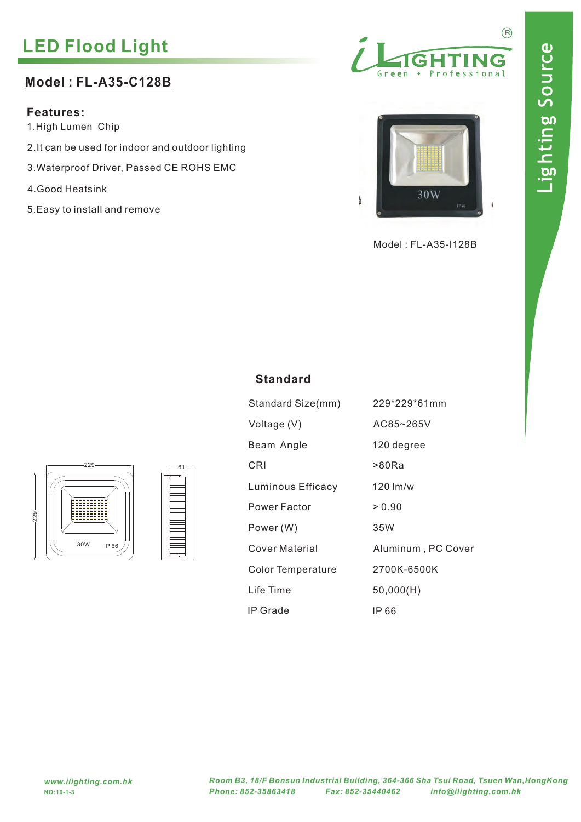# **LED Flood Light**

## **Model : FL-A35-C128B**

### **Features:**

1.High Lumen Chip

- 2.It can be used for indoor and outdoor lighting
- 3.Waterproof Driver, Passed CE ROHS EMC
- 4.Good Heatsink
- 5.Easy to install and remove





Model : FL-A35-I128B



**Standard**

Voltage (V)

Power (W)

# IP Grade IP 66 Standard Size(mm) 229\*229\*61mm Beam Angle 120 degree Power Factor > 0.90 Life Time 50,000(H) Color Temperature 2700K-6500K Cover Material Aluminum , PC Cover AC85~265V 35W



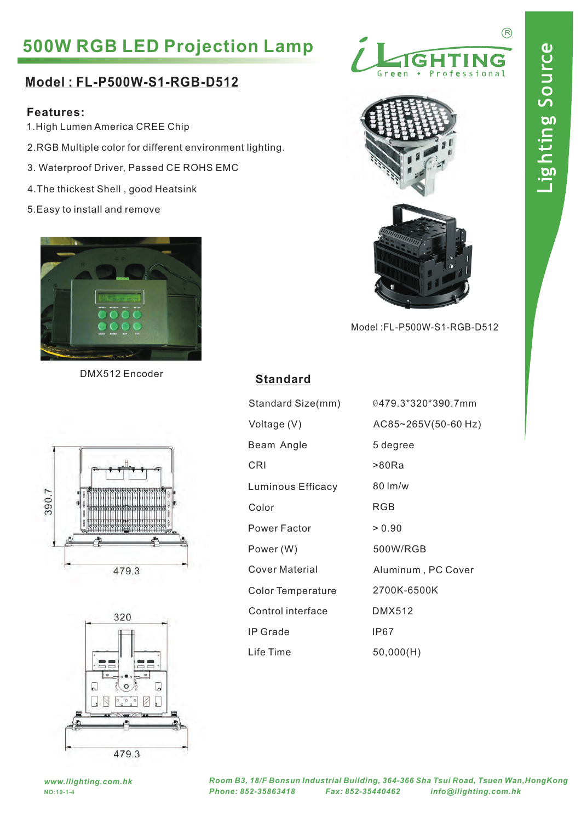# **500W RGB LED Projection Lamp**

### **Model : FL-P500W-S1-RGB-D512**

#### **Features:**

- 1.High Lumen America CREE Chip
- 2.RGB Multiple color for different environment lighting.
- 3. Waterproof Driver, Passed CE ROHS EMC
- 4.The thickest Shell , good Heatsink
- 5.Easy to install and remove



DMX512 Encoder **Standard**





| <b>TGHTING</b> |                |
|----------------|----------------|
| Green          | • Professional |



Model :FL-P500W-S1-RGB-D512

| Standard Size(mm)     | 0479.3*320*390.7mm  |
|-----------------------|---------------------|
| Voltage (V)           | AC85~265V(50-60 Hz) |
| Beam Angle            | 5 degree            |
| CRI                   | >80Ra               |
| Luminous Efficacy     | $80 \, \text{Im/w}$ |
| Color                 | RGB                 |
| Power Factor          | > 0.90              |
| Power (W)             | 500W/RGB            |
| <b>Cover Material</b> | Aluminum, PC Cover  |
| Color Temperature     | 2700K-6500K         |
| Control interface     | <b>DMX512</b>       |
| IP Grade              | IP67                |
| Life Time             | 50,000(H)           |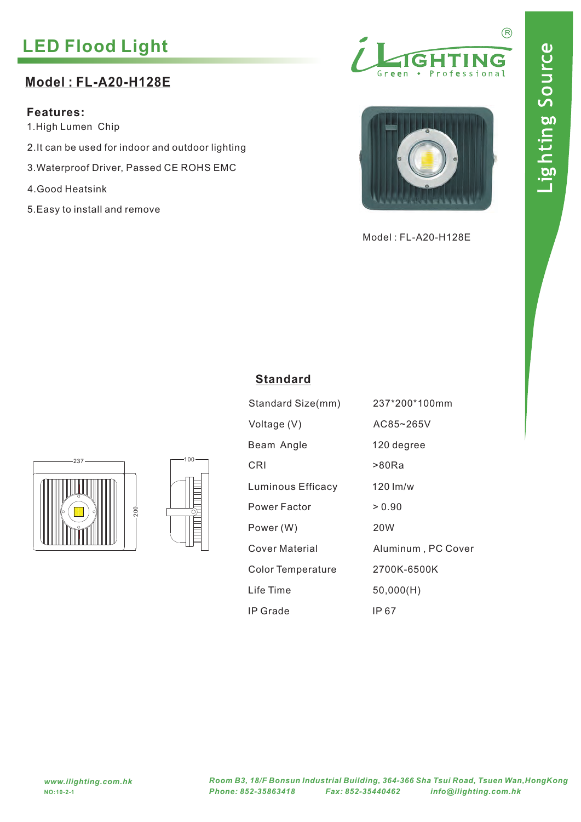# **LED Flood Light**

## **Model : FL-A20-H128E**

**Features:**

1.High Lumen Chip

- 2.It can be used for indoor and outdoor lighting
- 3.Waterproof Driver, Passed CE ROHS EMC
- 4.Good Heatsink
- 5.Easy to install and remove





Model : FL-A20-H128E



| 100- |
|------|
|      |
| ſ    |

| Standard Size(mm)        | 237*200*100mm      |
|--------------------------|--------------------|
| Voltage (V)              | AC85~265V          |
| Beam Angle               | 120 degree         |
| CRI                      | >80Ra              |
| <b>Luminous Efficacy</b> | $120 \,$ lm/w      |
| Power Factor             | > 0.90             |
| Power (W)                | 20W                |
| Cover Material           | Aluminum, PC Cover |
| <b>Color Temperature</b> | 2700K-6500K        |
| Life Time                | 50,000(H)          |
| IP Grade                 | IP 67              |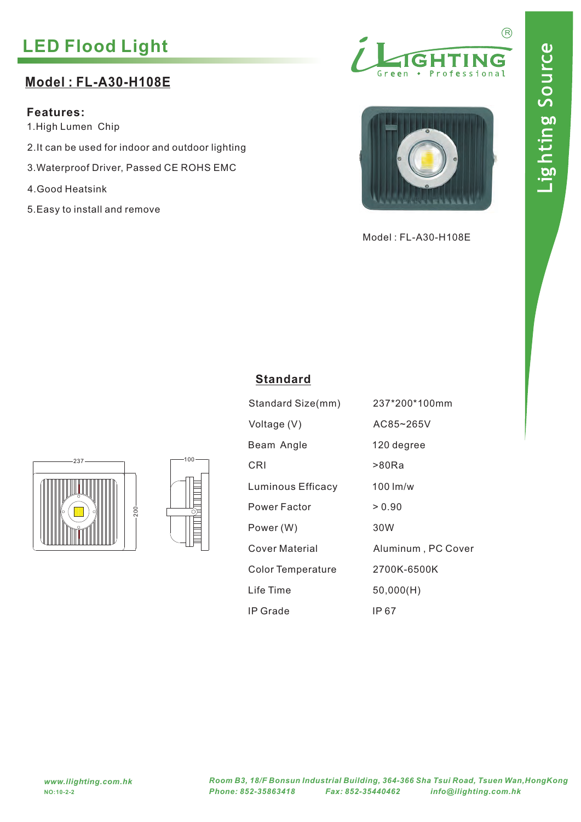# **LED Flood Light**

## **Model : FL-A30-H108E**

**Features:**

1.High Lumen Chip

- 2.It can be used for indoor and outdoor lighting
- 3.Waterproof Driver, Passed CE ROHS EMC
- 4.Good Heatsink
- 5.Easy to install and remove





Model : FL-A30-H108E



| 100- |
|------|
|      |
| ſ    |

| Standard Size(mm)        | 237*200*100mm      |
|--------------------------|--------------------|
| Voltage (V)              | AC85~265V          |
| Beam Angle               | 120 degree         |
| CRI                      | >80Ra              |
| Luminous Efficacy        | $100 \,$ lm/w      |
| Power Factor             | > 0.90             |
| Power (W)                | 30W                |
| Cover Material           | Aluminum, PC Cover |
| <b>Color Temperature</b> | 2700K-6500K        |
| Life Time                | 50,000(H)          |
| IP Grade                 | IP 67              |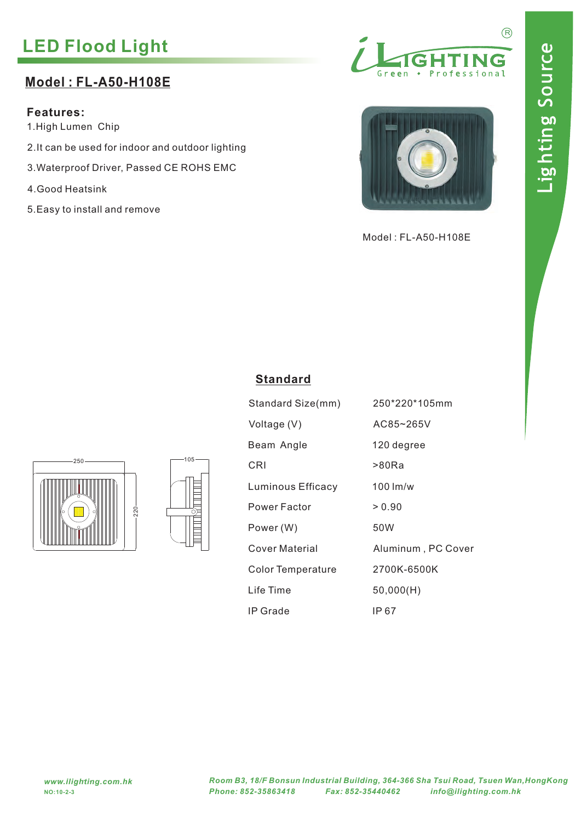# **LED Flood Light**

# **Model : FL-A50-H108E**

**Features:**

1.High Lumen Chip

- 2.It can be used for indoor and outdoor lighting
- 3.Waterproof Driver, Passed CE ROHS EMC
- 4.Good Heatsink
- 5.Easy to install and remove





Model : FL-A50-H108E



| $105 -$ |  |  |
|---------|--|--|
|         |  |  |
| Ć       |  |  |
|         |  |  |

| Standard Size(mm)        | 250*220*105mm      |
|--------------------------|--------------------|
| Voltage (V)              | AC85~265V          |
| Beam Angle               | 120 degree         |
| CRI                      | >80Ra              |
| <b>Luminous Efficacy</b> | $100 \,$ lm/w      |
| Power Factor             | > 0.90             |
| Power (W)                | 50W                |
| Cover Material           | Aluminum, PC Cover |
| <b>Color Temperature</b> | 2700K-6500K        |
| Life Time                | 50,000(H)          |
| IP Grade                 | IP 67              |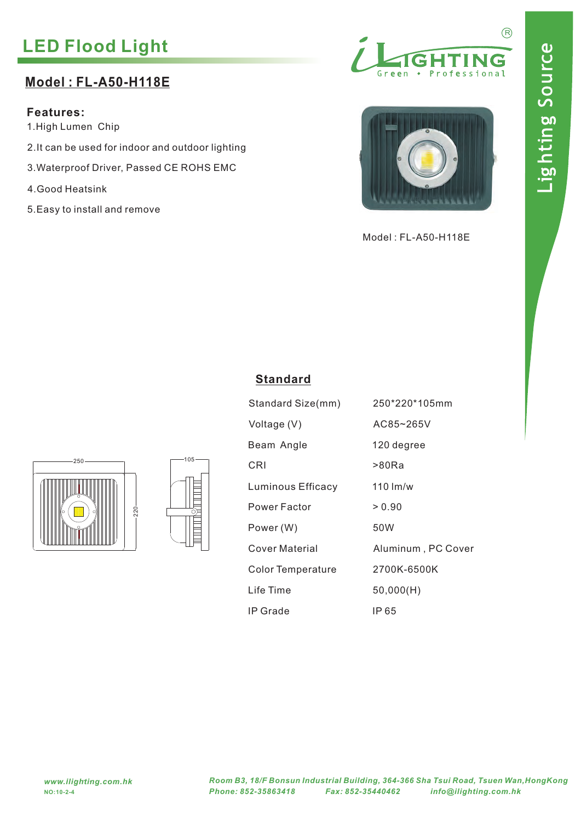# **LED Flood Light**

## **Model : FL-A50-H118E**

**Features:**

1.High Lumen Chip

- 2.It can be used for indoor and outdoor lighting
- 3.Waterproof Driver, Passed CE ROHS EMC
- 4.Good Heatsink
- 5.Easy to install and remove





Model : FL-A50-H118E





| Standard Size(mm)        | 250*220*105mm      |
|--------------------------|--------------------|
| Voltage (V)              | AC85~265V          |
| Beam Angle               | 120 degree         |
| CRI                      | >80Ra              |
| Luminous Efficacy        | $110 \,$ lm/w      |
| Power Factor             | > 0.90             |
| Power (W)                | 50W                |
| Cover Material           | Aluminum, PC Cover |
| <b>Color Temperature</b> | 2700K-6500K        |
| Life Time                | 50,000(H)          |
| IP Grade                 | IP 65              |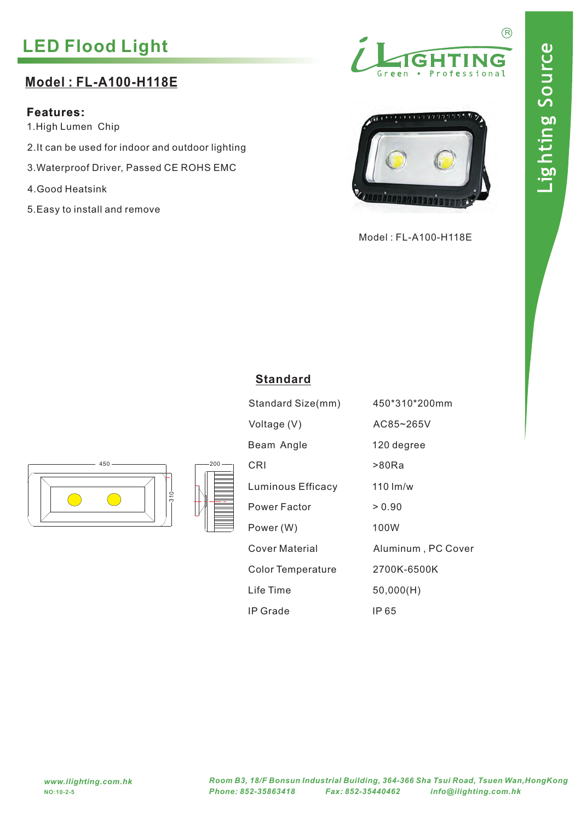# **LED Flood Light**

## **Model : FL-A100-H118E**

### **Features:**

1.High Lumen Chip

- 2.It can be used for indoor and outdoor lighting
- 3.Waterproof Driver, Passed CE ROHS EMC
- 4.Good Heatsink
- 5.Easy to install and remove





Model : FL-A100-H118E



| $-200 -$ |
|----------|
|          |

| Standard Size(mm)        | 450*310*200mm      |
|--------------------------|--------------------|
| Voltage (V)              | AC85~265V          |
| Beam Angle               | 120 degree         |
| CRI                      | >80Ra              |
| Luminous Efficacy        | $110 \,$ lm/w      |
| Power Factor             | > 0.90             |
| Power (W)                | 100W               |
| Cover Material           | Aluminum, PC Cover |
| <b>Color Temperature</b> | 2700K-6500K        |
| Life Time                | 50,000(H)          |
| IP Grade                 | IP 65              |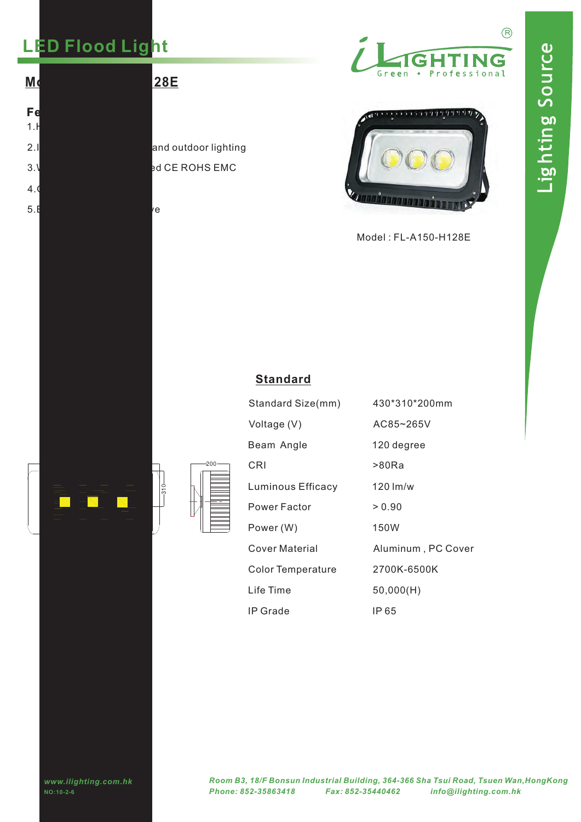# **LED Flood Light**

5. $\mathsf E$ asy to install and remove  $\mathsf v$ e

**Features:**  $1.$  $4.6$ 



 $\Box$  200

310

3.Waterproof Driver, Passed CE ROHS EMC 2.It can be used for induced for induced for induced for induced  $\frac{1}{2}$  and outdoor lighting





Model : FL-A150-H128E

| Standard Size(mm)        | 430*310*200mm      |
|--------------------------|--------------------|
| Voltage (V)              | AC85~265V          |
| Beam Angle               | 120 degree         |
| CRI                      | >80Ra              |
| Luminous Efficacy        | $120 \,$ lm/w      |
| Power Factor             | > 0.90             |
| Power (W)                | 150W               |
| Cover Material           | Aluminum, PC Cover |
| <b>Color Temperature</b> | 2700K-6500K        |
| Life Time                | 50,000(H)          |
| IP Grade                 | IP 65              |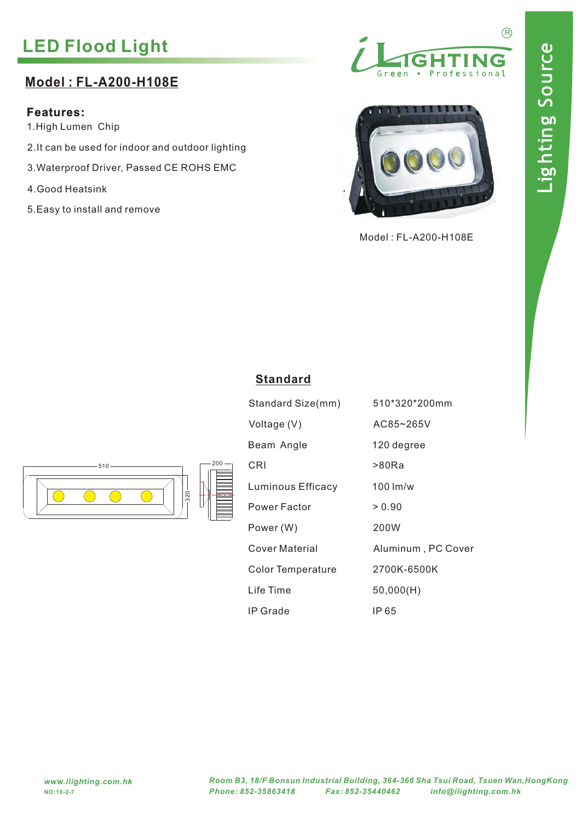# **LED Flood Light**

## **Model : FL-A200-H108E**

### **Features:**

1.High Lumen Chip

- 2.It can be used for indoor and outdoor lighting
- 3.Waterproof Driver, Passed CE ROHS EMC
- 4.Good Heatsink
- 5.Easy to install and remove





Model : FL-A200-H108E



| Standard Size(mm)        | 510*320*200mm      |
|--------------------------|--------------------|
| Voltage (V)              | AC85~265V          |
| Beam Angle               | 120 degree         |
| CRI                      | >80Ra              |
| Luminous Efficacy        | $100 \,$ lm/w      |
| Power Factor             | > 0.90             |
| Power (W)                | 200W               |
| Cover Material           | Aluminum, PC Cover |
| <b>Color Temperature</b> | 2700K-6500K        |
| Life Time                | 50,000(H)          |
| IP Grade                 | IP 65              |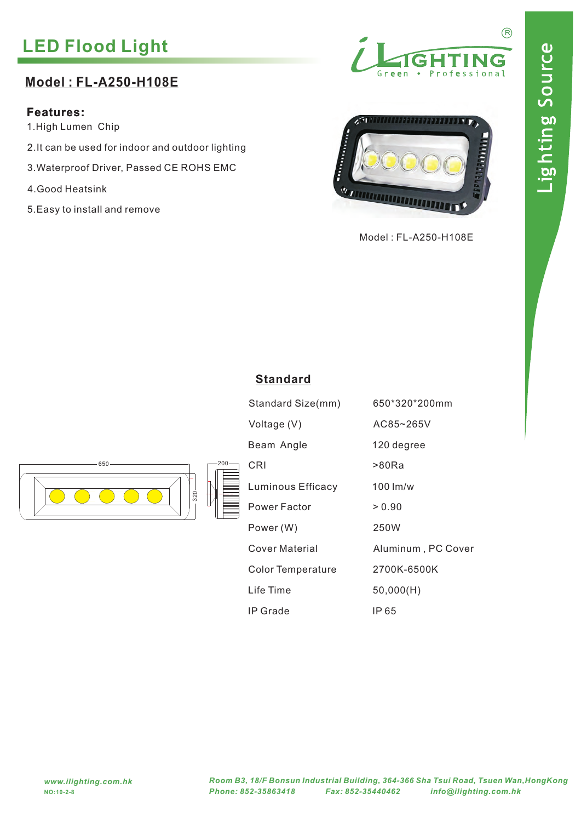# **LED Flood Light**

### **Model : FL-A250-H108E**

#### **Features:**

1.High Lumen Chip

- 2.It can be used for indoor and outdoor lighting
- 3.Waterproof Driver, Passed CE ROHS EMC
- 4.Good Heatsink
- 5.Easy to install and remove





Model : FL-A250-H108E



| Standard Size(mm)        | 650*320*200mm      |
|--------------------------|--------------------|
| Voltage (V)              | AC85~265V          |
| Beam Angle               | 120 degree         |
| CRI                      | >80Ra              |
| <b>Luminous Efficacy</b> | $100 \,$ lm/w      |
| Power Factor             | > 0.90             |
| Power (W)                | 250W               |
| Cover Material           | Aluminum, PC Cover |
| <b>Color Temperature</b> | 2700K-6500K        |
| Life Time                | 50,000(H)          |
| IP Grade                 | IP 65              |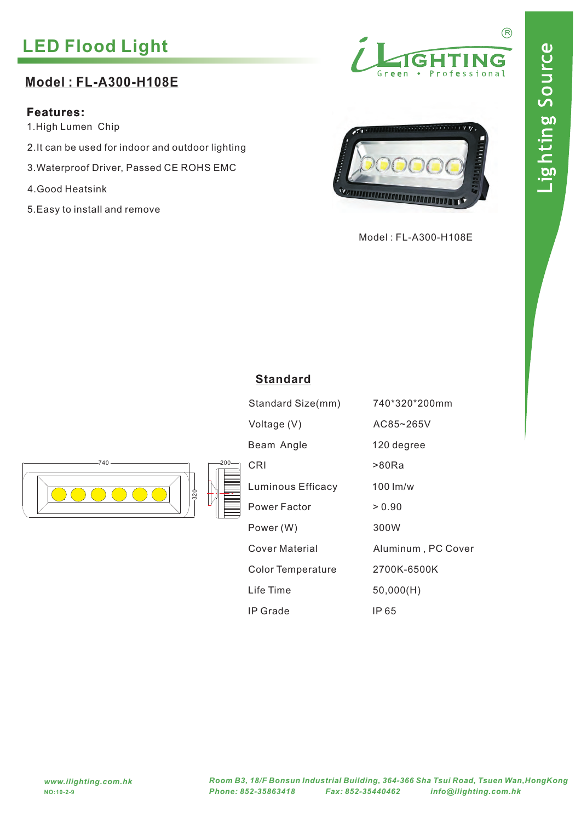# **LED Flood Light**

### **Model : FL-A300-H108E**

### **Features:**

1.High Lumen Chip

- 2.It can be used for indoor and outdoor lighting
- 3.Waterproof Driver, Passed CE ROHS EMC
- 4.Good Heatsink
- 5.Easy to install and remove





Model : FL-A300-H108E





| Standard Size(mm)        | 740*320*200mm      |
|--------------------------|--------------------|
| Voltage (V)              | AC85~265V          |
| Beam Angle               | 120 degree         |
| CRI                      | >80Ra              |
| <b>Luminous Efficacy</b> | $100 \,$ lm/w      |
| Power Factor             | > 0.90             |
| Power (W)                | 300W               |
| Cover Material           | Aluminum, PC Cover |
| <b>Color Temperature</b> | 2700K-6500K        |
| Life Time                | 50,000(H)          |
| IP Grade                 | IP 65              |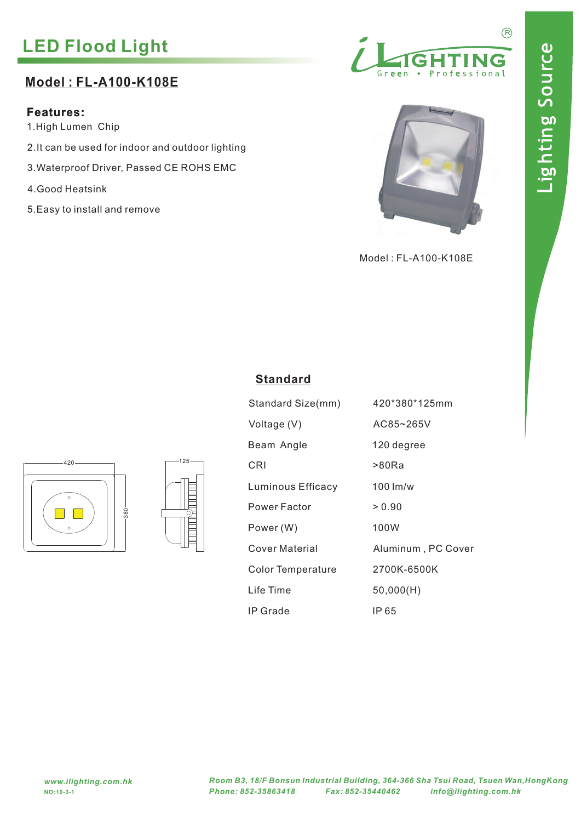# **LED Flood Light**

### **Model : FL-A100-K108E**

### **Features:**

1.High Lumen Chip

- 2.It can be used for indoor and outdoor lighting
- 3.Waterproof Driver, Passed CE ROHS EMC
- 4.Good Heatsink
- 5.Easy to install and remove





Model : FL-A100-K108E





| Standard Size(mm)        | 420*380*125mm      |
|--------------------------|--------------------|
| Voltage (V)              | AC85~265V          |
| Beam Angle               | 120 degree         |
| CRI                      | >80Ra              |
| Luminous Efficacy        | $100 \,$ lm/w      |
| Power Factor             | > 0.90             |
| Power (W)                | 100W               |
| Cover Material           | Aluminum, PC Cover |
| <b>Color Temperature</b> | 2700K-6500K        |
| Life Time                | 50,000(H)          |
| IP Grade                 | IP 65              |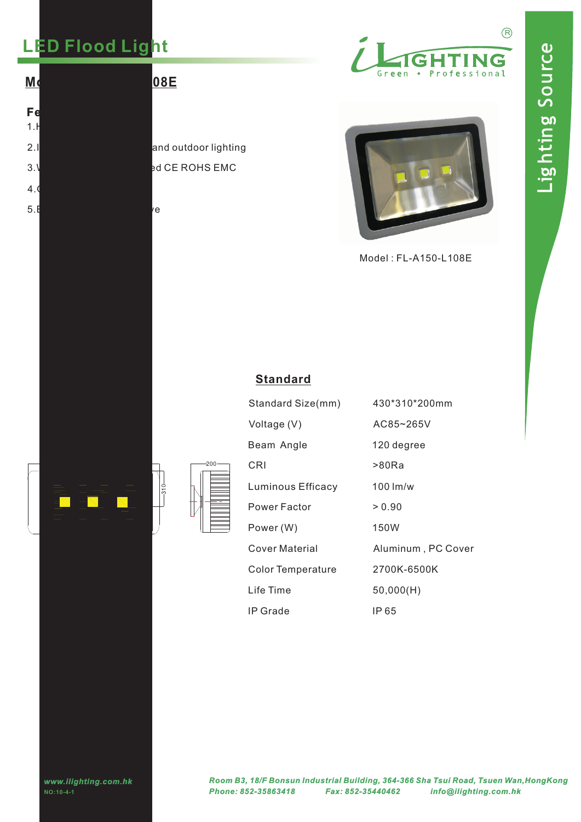# **LED Flood Light**

**Features:**  $1.$  $4.6$ 



# 2.It can be used for induced for induced for induced for induced  $\frac{1}{2}$  and outdoor lighting





| 3.\<br>4.<br>5.∎ |                                   | иe     | ed CE ROHS EMC |                                                                                        |                      |            |
|------------------|-----------------------------------|--------|----------------|----------------------------------------------------------------------------------------|----------------------|------------|
|                  |                                   |        |                |                                                                                        | Model: FL-A150-L108E |            |
|                  |                                   |        |                | <b>Standard</b>                                                                        |                      |            |
|                  |                                   |        |                | Standard Size(mm)                                                                      | 430*310*200mm        |            |
|                  |                                   |        |                | Voltage (V)                                                                            | AC85~265V            |            |
|                  |                                   |        |                | Beam Angle                                                                             | 120 degree           |            |
|                  |                                   |        | $-200 -$       | CRI                                                                                    | >80Ra                |            |
|                  |                                   | $-310$ |                | Luminous Efficacy                                                                      | 100 lm/w             |            |
|                  |                                   |        |                | <b>Power Factor</b>                                                                    | > 0.90               |            |
|                  |                                   |        |                | Power (W)                                                                              | 150W                 |            |
|                  |                                   |        |                | <b>Cover Material</b>                                                                  | Aluminum, PC Cover   |            |
|                  |                                   |        |                | <b>Color Temperature</b>                                                               | 2700K-6500K          |            |
|                  |                                   |        |                | Life Time                                                                              | 50,000(H)            |            |
|                  |                                   |        |                | IP Grade                                                                               | IP 65                |            |
|                  |                                   |        |                |                                                                                        |                      |            |
|                  |                                   |        |                |                                                                                        |                      |            |
|                  | www.ilighting.com.hk<br>NO:10-4-1 |        |                | Room B3, 18/F Bonsun Industrial Building, 364-366 Sha Tsui Road<br>Phone: 852-35863418 | Fax: 852-35440462    | info@iligh |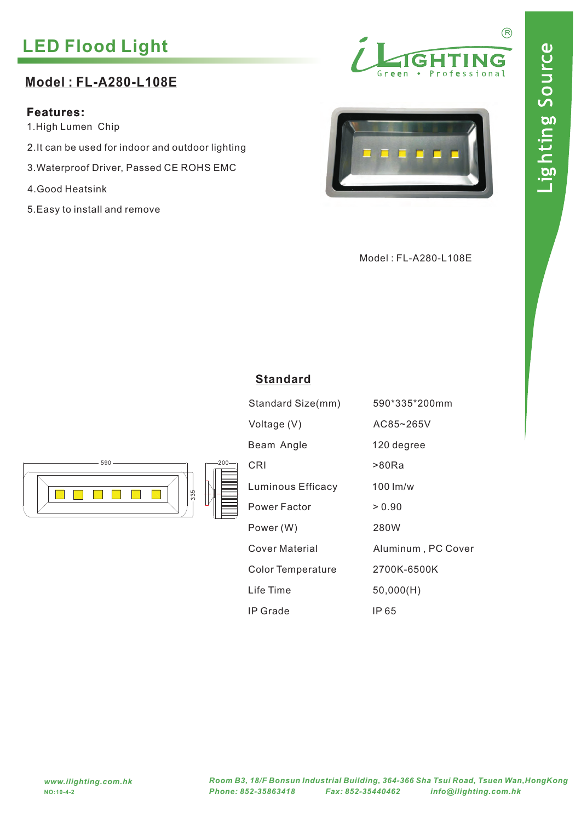R

# **LED Flood Light**

### **Model : FL-A280-L108E**

### **Features:**

1.High Lumen Chip

- 2.It can be used for indoor and outdoor lighting
- 3.Waterproof Driver, Passed CE ROHS EMC
- 4.Good Heatsink
- 5.Easy to install and remove





Model : FL-A280-L108E



| Standard Size(mm)        | 590*335*200mm      |
|--------------------------|--------------------|
| Voltage (V)              | AC85~265V          |
| Beam Angle               | 120 degree         |
| CRI                      | >80Ra              |
| Luminous Efficacy        | $100 \,$ lm/w      |
| Power Factor             | > 0.90             |
| Power (W)                | 280W               |
| Cover Material           | Aluminum, PC Cover |
| <b>Color Temperature</b> | 2700K-6500K        |
| Life Time                | 50,000(H)          |
| IP Grade                 | IP 65              |